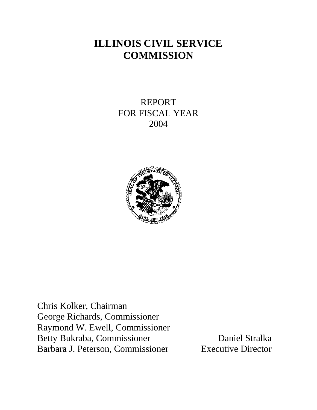# **ILLINOIS CIVIL SERVICE COMMISSION**

REPORT FOR FISCAL YEAR 2004



Chris Kolker, Chairman George Richards, Commissioner Raymond W. Ewell, Commissioner Betty Bukraba, Commissioner Daniel Stralka Barbara J. Peterson, Commissioner Executive Director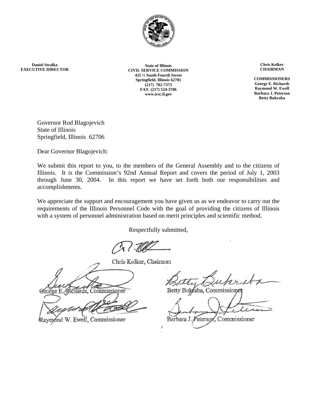

**Daniel Stralka EXECUTIVE DIRECTOR**

**State of Illinois CIVIL SERVICE COMMISSION 425 ½ South Fourth Street Springfield, Illinois 62701 (217) 782-7373 FAX (217) 524-3706 www.icsc.il.gov**

**Chris Kolker CHAIRMAN** 

**COMMISSIONERS George E. Richards Raymond W. Ewell Barbara J. Peterson Betty Bukraba**

Governor Rod Blagojevich State of Illinois Springfield, Illinois 62706

Dear Governor Blagojevich:

We submit this report to you, to the members of the General Assembly and to the citizens of Illinois. It is the Commission's 92nd Annual Report and covers the period of July 1, 2003 through June 30, 2004. In this report we have set forth both our responsibilities and accomplishments.

We appreciate the support and encouragement you have given us as we endeavor to carry out the requirements of the Illinois Personnel Code with the goal of providing the citizens of Illinois with a system of personnel administration based on merit principles and scientific method.

Respectfully submitted,

Chris Kolker, Chairman

George E. Mchards, Commissioner

Raymond W. Ewell, Commissioner

Bulgraba, Commissioner

Peterson, Commissioner Barbara J.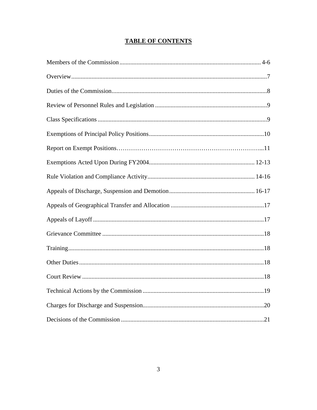# **TABLE OF CONTENTS**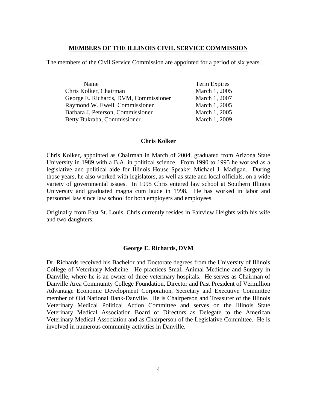### **MEMBERS OF THE ILLINOIS CIVIL SERVICE COMMISSION**

The members of the Civil Service Commission are appointed for a period of six years.

| Name                                  | Term Expires  |
|---------------------------------------|---------------|
| Chris Kolker, Chairman                | March 1, 2005 |
| George E. Richards, DVM, Commissioner | March 1, 2007 |
| Raymond W. Ewell, Commissioner        | March 1, 2005 |
| Barbara J. Peterson, Commissioner     | March 1, 2005 |
| Betty Bukraba, Commissioner           | March 1, 2009 |

#### **Chris Kolker**

Chris Kolker, appointed as Chairman in March of 2004, graduated from Arizona State University in 1989 with a B.A. in political science. From 1990 to 1995 he worked as a legislative and political aide for Illinois House Speaker Michael J. Madigan. During those years, he also worked with legislators, as well as state and local officials, on a wide variety of governmental issues. In 1995 Chris entered law school at Southern Illinois University and graduated magna cum laude in 1998. He has worked in labor and personnel law since law school for both employers and employees.

Originally from East St. Louis, Chris currently resides in Fairview Heights with his wife and two daughters.

### **George E. Richards, DVM**

Dr. Richards received his Bachelor and Doctorate degrees from the University of Illinois College of Veterinary Medicine. He practices Small Animal Medicine and Surgery in Danville, where he is an owner of three veterinary hospitals. He serves as Chairman of Danville Area Community College Foundation, Director and Past President of Vermillion Advantage Economic Development Corporation, Secretary and Executive Committee member of Old National Bank-Danville. He is Chairperson and Treasurer of the Illinois Veterinary Medical Political Action Committee and serves on the Illinois State Veterinary Medical Association Board of Directors as Delegate to the American Veterinary Medical Association and as Chairperson of the Legislative Committee. He is involved in numerous community activities in Danville.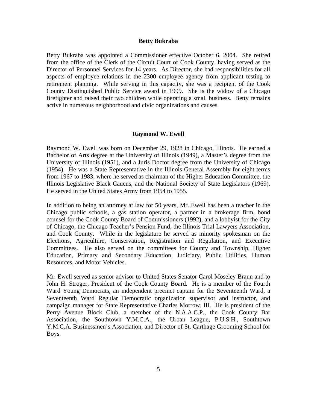#### **Betty Bukraba**

Betty Bukraba was appointed a Commissioner effective October 6, 2004. She retired from the office of the Clerk of the Circuit Court of Cook County, having served as the Director of Personnel Services for 14 years. As Director, she had responsibilities for all aspects of employee relations in the 2300 employee agency from applicant testing to retirement planning. While serving in this capacity, she was a recipient of the Cook County Distinguished Public Service award in 1999. She is the widow of a Chicago firefighter and raised their two children while operating a small business. Betty remains active in numerous neighborhood and civic organizations and causes.

#### **Raymond W. Ewell**

Raymond W. Ewell was born on December 29, 1928 in Chicago, Illinois. He earned a Bachelor of Arts degree at the University of Illinois (1949), a Master's degree from the University of Illinois (1951), and a Juris Doctor degree from the University of Chicago (1954). He was a State Representative in the Illinois General Assembly for eight terms from 1967 to 1983, where he served as chairman of the Higher Education Committee, the Illinois Legislative Black Caucus, and the National Society of State Legislators (1969). He served in the United States Army from 1954 to 1955.

In addition to being an attorney at law for 50 years, Mr. Ewell has been a teacher in the Chicago public schools, a gas station operator, a partner in a brokerage firm, bond counsel for the Cook County Board of Commissioners (1992), and a lobbyist for the City of Chicago, the Chicago Teacher's Pension Fund, the Illinois Trial Lawyers Association, and Cook County. While in the legislature he served as minority spokesman on the Elections, Agriculture, Conservation, Registration and Regulation, and Executive Committees. He also served on the committees for County and Township, Higher Education, Primary and Secondary Education, Judiciary, Public Utilities, Human Resources, and Motor Vehicles.

Mr. Ewell served as senior advisor to United States Senator Carol Moseley Braun and to John H. Stroger, President of the Cook County Board. He is a member of the Fourth Ward Young Democrats, an independent precinct captain for the Seventeenth Ward, a Seventeenth Ward Regular Democratic organization supervisor and instructor, and campaign manager for State Representative Charles Morrow, III. He is president of the Perry Avenue Block Club, a member of the N.A.A.C.P., the Cook County Bar Association, the Southtown Y.M.C.A., the Urban League, P.U.S.H., Southtown Y.M.C.A. Businessmen's Association, and Director of St. Carthage Grooming School for Boys.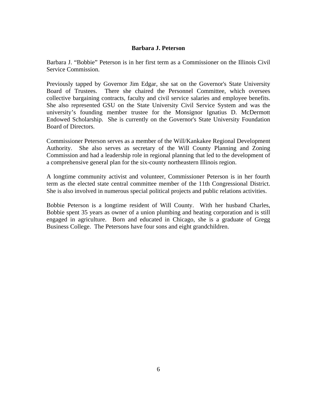### **Barbara J. Peterson**

Barbara J. "Bobbie" Peterson is in her first term as a Commissioner on the Illinois Civil Service Commission.

Previously tapped by Governor Jim Edgar, she sat on the Governor's State University Board of Trustees. There she chaired the Personnel Committee, which oversees collective bargaining contracts, faculty and civil service salaries and employee benefits. She also represented GSU on the State University Civil Service System and was the university's founding member trustee for the Monsignor Ignatius D. McDermott Endowed Scholarship. She is currently on the Governor's State University Foundation Board of Directors.

Commissioner Peterson serves as a member of the Will/Kankakee Regional Development Authority. She also serves as secretary of the Will County Planning and Zoning Commission and had a leadership role in regional planning that led to the development of a comprehensive general plan for the six-county northeastern Illinois region.

A longtime community activist and volunteer, Commissioner Peterson is in her fourth term as the elected state central committee member of the 11th Congressional District. She is also involved in numerous special political projects and public relations activities.

Bobbie Peterson is a longtime resident of Will County. With her husband Charles, Bobbie spent 35 years as owner of a union plumbing and heating corporation and is still engaged in agriculture. Born and educated in Chicago, she is a graduate of Gregg Business College. The Petersons have four sons and eight grandchildren.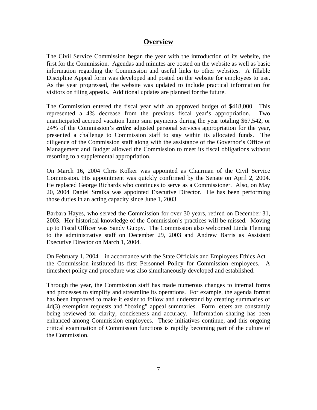## **Overview**

The Civil Service Commission began the year with the introduction of its website, the first for the Commission. Agendas and minutes are posted on the website as well as basic information regarding the Commission and useful links to other websites. A fillable Discipline Appeal form was developed and posted on the website for employees to use. As the year progressed, the website was updated to include practical information for visitors on filing appeals. Additional updates are planned for the future.

The Commission entered the fiscal year with an approved budget of \$418,000. This represented a 4% decrease from the previous fiscal year's appropriation. Two unanticipated accrued vacation lump sum payments during the year totaling \$67,542, or 24% of the Commission's *entire* adjusted personal services appropriation for the year, presented a challenge to Commission staff to stay within its allocated funds. The diligence of the Commission staff along with the assistance of the Governor's Office of Management and Budget allowed the Commission to meet its fiscal obligations without resorting to a supplemental appropriation.

On March 16, 2004 Chris Kolker was appointed as Chairman of the Civil Service Commission. His appointment was quickly confirmed by the Senate on April 2, 2004. He replaced George Richards who continues to serve as a Commissioner. Also, on May 20, 2004 Daniel Stralka was appointed Executive Director. He has been performing those duties in an acting capacity since June 1, 2003.

Barbara Hayes, who served the Commission for over 30 years, retired on December 31, 2003. Her historical knowledge of the Commission's practices will be missed. Moving up to Fiscal Officer was Sandy Guppy. The Commission also welcomed Linda Fleming to the administrative staff on December 29, 2003 and Andrew Barris as Assistant Executive Director on March 1, 2004.

On February 1, 2004 – in accordance with the State Officials and Employees Ethics Act – the Commission instituted its first Personnel Policy for Commission employees. A timesheet policy and procedure was also simultaneously developed and established.

Through the year, the Commission staff has made numerous changes to internal forms and processes to simplify and streamline its operations. For example, the agenda format has been improved to make it easier to follow and understand by creating summaries of 4d(3) exemption requests and "boxing" appeal summaries. Form letters are constantly being reviewed for clarity, conciseness and accuracy. Information sharing has been enhanced among Commission employees. These initiatives continue, and this ongoing critical examination of Commission functions is rapidly becoming part of the culture of the Commission.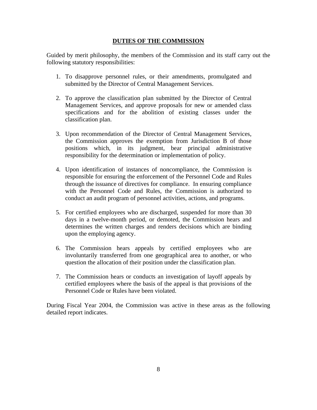### **DUTIES OF THE COMMISSION**

Guided by merit philosophy, the members of the Commission and its staff carry out the following statutory responsibilities:

- 1. To disapprove personnel rules, or their amendments, promulgated and submitted by the Director of Central Management Services.
- 2. To approve the classification plan submitted by the Director of Central Management Services, and approve proposals for new or amended class specifications and for the abolition of existing classes under the classification plan.
- 3. Upon recommendation of the Director of Central Management Services, the Commission approves the exemption from Jurisdiction B of those positions which, in its judgment, bear principal administrative responsibility for the determination or implementation of policy.
- 4. Upon identification of instances of noncompliance, the Commission is responsible for ensuring the enforcement of the Personnel Code and Rules through the issuance of directives for compliance. In ensuring compliance with the Personnel Code and Rules, the Commission is authorized to conduct an audit program of personnel activities, actions, and programs.
- 5. For certified employees who are discharged, suspended for more than 30 days in a twelve-month period, or demoted, the Commission hears and determines the written charges and renders decisions which are binding upon the employing agency.
- 6. The Commission hears appeals by certified employees who are involuntarily transferred from one geographical area to another, or who question the allocation of their position under the classification plan.
- 7. The Commission hears or conducts an investigation of layoff appeals by certified employees where the basis of the appeal is that provisions of the Personnel Code or Rules have been violated.

During Fiscal Year 2004, the Commission was active in these areas as the following detailed report indicates.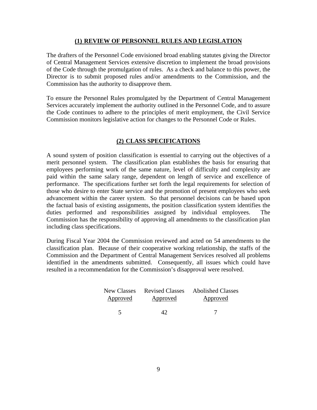### **(1) REVIEW OF PERSONNEL RULES AND LEGISLATION**

The drafters of the Personnel Code envisioned broad enabling statutes giving the Director of Central Management Services extensive discretion to implement the broad provisions of the Code through the promulgation of rules. As a check and balance to this power, the Director is to submit proposed rules and/or amendments to the Commission, and the Commission has the authority to disapprove them.

To ensure the Personnel Rules promulgated by the Department of Central Management Services accurately implement the authority outlined in the Personnel Code, and to assure the Code continues to adhere to the principles of merit employment, the Civil Service Commission monitors legislative action for changes to the Personnel Code or Rules.

### **(2) CLASS SPECIFICATIONS**

A sound system of position classification is essential to carrying out the objectives of a merit personnel system. The classification plan establishes the basis for ensuring that employees performing work of the same nature, level of difficulty and complexity are paid within the same salary range, dependent on length of service and excellence of performance. The specifications further set forth the legal requirements for selection of those who desire to enter State service and the promotion of present employees who seek advancement within the career system. So that personnel decisions can be based upon the factual basis of existing assignments, the position classification system identifies the duties performed and responsibilities assigned by individual employees. The Commission has the responsibility of approving all amendments to the classification plan including class specifications.

During Fiscal Year 2004 the Commission reviewed and acted on 54 amendments to the classification plan. Because of their cooperative working relationship, the staffs of the Commission and the Department of Central Management Services resolved all problems identified in the amendments submitted. Consequently, all issues which could have resulted in a recommendation for the Commission's disapproval were resolved.

|          |          | New Classes Revised Classes Abolished Classes |
|----------|----------|-----------------------------------------------|
| Approved | Approved | Approved                                      |
|          | 47       |                                               |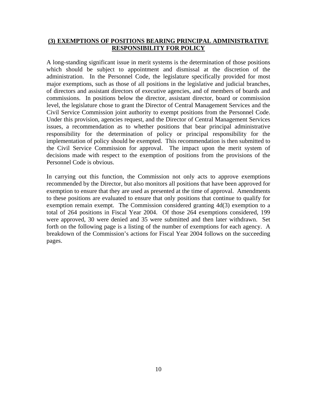### **(3) EXEMPTIONS OF POSITIONS BEARING PRINCIPAL ADMINISTRATIVE RESPONSIBILITY FOR POLICY**

A long-standing significant issue in merit systems is the determination of those positions which should be subject to appointment and dismissal at the discretion of the administration. In the Personnel Code, the legislature specifically provided for most major exemptions, such as those of all positions in the legislative and judicial branches, of directors and assistant directors of executive agencies, and of members of boards and commissions. In positions below the director, assistant director, board or commission level, the legislature chose to grant the Director of Central Management Services and the Civil Service Commission joint authority to exempt positions from the Personnel Code. Under this provision, agencies request, and the Director of Central Management Services issues, a recommendation as to whether positions that bear principal administrative responsibility for the determination of policy or principal responsibility for the implementation of policy should be exempted. This recommendation is then submitted to the Civil Service Commission for approval. The impact upon the merit system of decisions made with respect to the exemption of positions from the provisions of the Personnel Code is obvious.

In carrying out this function, the Commission not only acts to approve exemptions recommended by the Director, but also monitors all positions that have been approved for exemption to ensure that they are used as presented at the time of approval. Amendments to these positions are evaluated to ensure that only positions that continue to qualify for exemption remain exempt. The Commission considered granting 4d(3) exemption to a total of 264 positions in Fiscal Year 2004. Of those 264 exemptions considered, 199 were approved, 30 were denied and 35 were submitted and then later withdrawn. Set forth on the following page is a listing of the number of exemptions for each agency. A breakdown of the Commission's actions for Fiscal Year 2004 follows on the succeeding pages.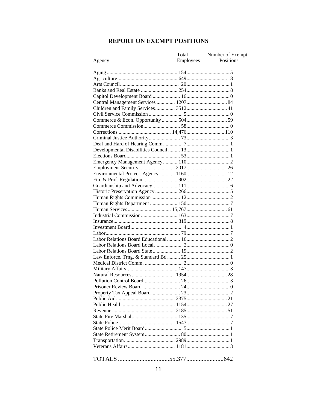# **REPORT ON EXEMPT POSITIONS**

|                                      | Total            | Number of Exempt |
|--------------------------------------|------------------|------------------|
| Agency                               | <b>Employees</b> | Positions        |
|                                      |                  |                  |
|                                      |                  |                  |
|                                      |                  |                  |
|                                      |                  |                  |
|                                      |                  |                  |
|                                      |                  |                  |
| Central Management Services  1207 84 |                  |                  |
| Children and Family Services 3512 41 |                  |                  |
|                                      |                  |                  |
|                                      |                  |                  |
|                                      |                  |                  |
|                                      |                  |                  |
|                                      |                  |                  |
|                                      |                  |                  |
|                                      |                  |                  |
|                                      |                  |                  |
|                                      |                  |                  |
|                                      |                  |                  |
|                                      |                  |                  |
|                                      |                  |                  |
|                                      |                  |                  |
|                                      |                  |                  |
|                                      |                  |                  |
|                                      |                  |                  |
|                                      |                  |                  |
|                                      |                  |                  |
|                                      |                  |                  |
|                                      |                  |                  |
|                                      |                  |                  |
|                                      |                  |                  |
|                                      |                  |                  |
|                                      |                  |                  |
|                                      |                  |                  |
|                                      |                  |                  |
|                                      |                  |                  |
|                                      |                  |                  |
|                                      |                  |                  |
|                                      |                  |                  |
|                                      |                  |                  |
|                                      |                  |                  |
|                                      |                  |                  |
|                                      |                  |                  |
|                                      |                  |                  |
|                                      |                  |                  |
|                                      |                  |                  |
|                                      |                  |                  |
|                                      |                  |                  |
|                                      |                  |                  |
|                                      |                  |                  |
|                                      |                  |                  |
|                                      |                  |                  |
|                                      |                  |                  |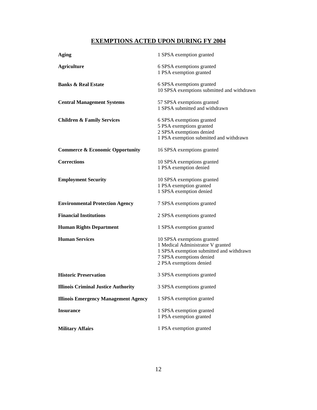# **EXEMPTIONS ACTED UPON DURING FY 2004**

| Aging                                       | 1 SPSA exemption granted                                                                                                                                           |
|---------------------------------------------|--------------------------------------------------------------------------------------------------------------------------------------------------------------------|
| <b>Agriculture</b>                          | 6 SPSA exemptions granted<br>1 PSA exemption granted                                                                                                               |
| <b>Banks &amp; Real Estate</b>              | 6 SPSA exemptions granted<br>10 SPSA exemptions submitted and withdrawn                                                                                            |
| <b>Central Management Systems</b>           | 57 SPSA exemptions granted<br>1 SPSA submitted and withdrawn                                                                                                       |
| <b>Children &amp; Family Services</b>       | 6 SPSA exemptions granted<br>5 PSA exemptions granted<br>2 SPSA exemptions denied<br>1 PSA exemption submitted and withdrawn                                       |
| <b>Commerce &amp; Economic Opportunity</b>  | 16 SPSA exemptions granted                                                                                                                                         |
| <b>Corrections</b>                          | 10 SPSA exemptions granted<br>1 PSA exemption denied                                                                                                               |
| <b>Employment Security</b>                  | 10 SPSA exemptions granted<br>1 PSA exemption granted<br>1 SPSA exemption denied                                                                                   |
| <b>Environmental Protection Agency</b>      | 7 SPSA exemptions granted                                                                                                                                          |
| <b>Financial Institutions</b>               | 2 SPSA exemptions granted                                                                                                                                          |
| <b>Human Rights Department</b>              | 1 SPSA exemption granted                                                                                                                                           |
| <b>Human Services</b>                       | 10 SPSA exemptions granted<br>1 Medical Administrator V granted<br>1 SPSA exemption submitted and withdrawn<br>7 SPSA exemptions denied<br>2 PSA exemptions denied |
| <b>Historic Preservation</b>                | 3 SPSA exemptions granted                                                                                                                                          |
| <b>Illinois Criminal Justice Authority</b>  | 3 SPSA exemptions granted                                                                                                                                          |
| <b>Illinois Emergency Management Agency</b> | 1 SPSA exemption granted                                                                                                                                           |
| <b>Insurance</b>                            | 1 SPSA exemption granted<br>1 PSA exemption granted                                                                                                                |
| <b>Military Affairs</b>                     | 1 PSA exemption granted                                                                                                                                            |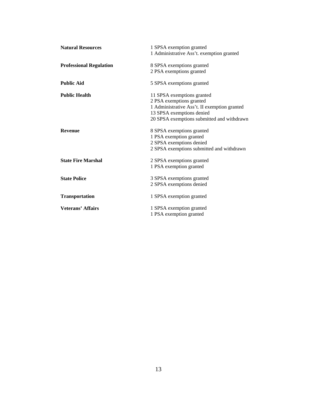| <b>Natural Resources</b>       | 1 SPSA exemption granted<br>1 Administrative Ass't. exemption granted                                                                                                             |
|--------------------------------|-----------------------------------------------------------------------------------------------------------------------------------------------------------------------------------|
| <b>Professional Regulation</b> | 8 SPSA exemptions granted<br>2 PSA exemptions granted                                                                                                                             |
| <b>Public Aid</b>              | 5 SPSA exemptions granted                                                                                                                                                         |
| <b>Public Health</b>           | 11 SPSA exemptions granted<br>2 PSA exemptions granted<br>1 Administrative Ass't. II exemption granted<br>13 SPSA exemptions denied<br>20 SPSA exemptions submitted and withdrawn |
| <b>Revenue</b>                 | 8 SPSA exemptions granted<br>1 PSA exemption granted<br>2 SPSA exemptions denied<br>2 SPSA exemptions submitted and withdrawn                                                     |
| <b>State Fire Marshal</b>      | 2 SPSA exemptions granted<br>1 PSA exemption granted                                                                                                                              |
| <b>State Police</b>            | 3 SPSA exemptions granted<br>2 SPSA exemptions denied                                                                                                                             |
| <b>Transportation</b>          | 1 SPSA exemption granted                                                                                                                                                          |
| <b>Veterans' Affairs</b>       | 1 SPSA exemption granted<br>1 PSA exemption granted                                                                                                                               |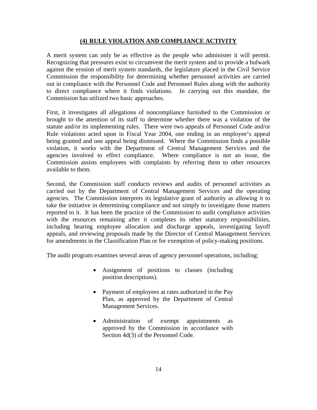### **(4) RULE VIOLATION AND COMPLIANCE ACTIVITY**

A merit system can only be as effective as the people who administer it will permit. Recognizing that pressures exist to circumvent the merit system and to provide a bulwark against the erosion of merit system standards, the legislature placed in the Civil Service Commission the responsibility for determining whether personnel activities are carried out in compliance with the Personnel Code and Personnel Rules along with the authority to direct compliance where it finds violations. In carrying out this mandate, the Commission has utilized two basic approaches.

First, it investigates all allegations of noncompliance furnished to the Commission or brought to the attention of its staff to determine whether there was a violation of the statute and/or its implementing rules. There were two appeals of Personnel Code and/or Rule violations acted upon in Fiscal Year 2004, one ending in an employee's appeal being granted and one appeal being dismissed. Where the Commission finds a possible violation, it works with the Department of Central Management Services and the agencies involved to effect compliance. Where compliance is not an issue, the Commission assists employees with complaints by referring them to other resources available to them.

Second, the Commission staff conducts reviews and audits of personnel activities as carried out by the Department of Central Management Services and the operating agencies. The Commission interprets its legislative grant of authority as allowing it to take the initiative in determining compliance and not simply to investigate those matters reported to it. It has been the practice of the Commission to audit compliance activities with the resources remaining after it completes its other statutory responsibilities, including hearing employee allocation and discharge appeals, investigating layoff appeals, and reviewing proposals made by the Director of Central Management Services for amendments in the Classification Plan or for exemption of policy-making positions.

The audit program examines several areas of agency personnel operations, including:

- Assignment of positions to classes (including position descriptions).
- Payment of employees at rates authorized in the Pay Plan, as approved by the Department of Central Management Services.
- Administration of exempt appointments as approved by the Commission in accordance with Section 4d(3) of the Personnel Code.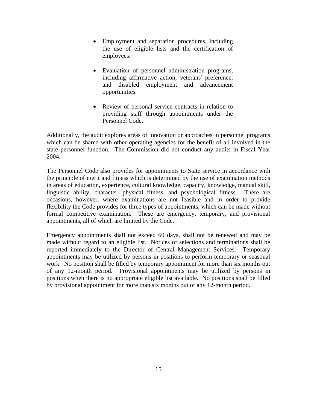- Employment and separation procedures, including the use of eligible lists and the certification of employees.
- Evaluation of personnel administration programs, including affirmative action, veterans' preference, and disabled employment and advancement opportunities.
- Review of personal service contracts in relation to providing staff through appointments under the Personnel Code.

Additionally, the audit explores areas of innovation or approaches in personnel programs which can be shared with other operating agencies for the benefit of all involved in the state personnel function. The Commission did not conduct any audits in Fiscal Year 2004.

The Personnel Code also provides for appointments to State service in accordance with the principle of merit and fitness which is determined by the use of examination methods in areas of education, experience, cultural knowledge, capacity, knowledge, manual skill, linguistic ability, character, physical fitness, and psychological fitness. There are occasions, however, where examinations are not feasible and in order to provide flexibility the Code provides for three types of appointments, which can be made without formal competitive examination. These are emergency, temporary, and provisional appointments, all of which are limited by the Code.

Emergency appointments shall not exceed 60 days, shall not be renewed and may be made without regard to an eligible list. Notices of selections and terminations shall be reported immediately to the Director of Central Management Services. Temporary appointments may be utilized by persons in positions to perform temporary or seasonal work. No position shall be filled by temporary appointment for more than six months out of any 12-month period. Provisional appointments may be utilized by persons in positions when there is no appropriate eligible list available. No positions shall be filled by provisional appointment for more than six months out of any 12-month period.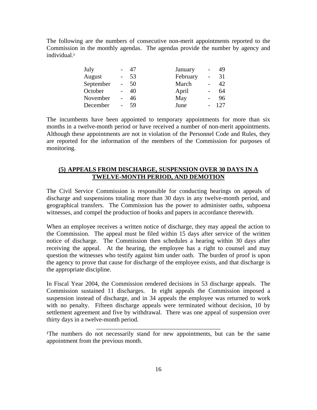The following are the numbers of consecutive non-merit appointments reported to the Commission in the monthly agendas. The agendas provide the number by agency and individual.<sup>1</sup>

| July      | 47 | January  | $\overline{\phantom{0}}$ | 49  |
|-----------|----|----------|--------------------------|-----|
| August    | 53 | February |                          | 31  |
| September | 50 | March    |                          | 42  |
| October   | 40 | April    | $\overline{\phantom{a}}$ | 64  |
| November  | 46 | May      |                          | 96  |
| December  | 59 | June     |                          | 127 |

The incumbents have been appointed to temporary appointments for more than six months in a twelve-month period or have received a number of non-merit appointments. Although these appointments are not in violation of the Personnel Code and Rules, they are reported for the information of the members of the Commission for purposes of monitoring.

### **(5) APPEALS FROM DISCHARGE, SUSPENSION OVER 30 DAYS IN A TWELVE-MONTH PERIOD, AND DEMOTION**

The Civil Service Commission is responsible for conducting hearings on appeals of discharge and suspensions totaling more than 30 days in any twelve-month period, and geographical transfers. The Commission has the power to administer oaths, subpoena witnesses, and compel the production of books and papers in accordance therewith.

When an employee receives a written notice of discharge, they may appeal the action to the Commission. The appeal must be filed within 15 days after service of the written notice of discharge. The Commission then schedules a hearing within 30 days after receiving the appeal. At the hearing, the employee has a right to counsel and may question the witnesses who testify against him under oath. The burden of proof is upon the agency to prove that cause for discharge of the employee exists, and that discharge is the appropriate discipline.

In Fiscal Year 2004, the Commission rendered decisions in 53 discharge appeals. The Commission sustained 11 discharges. In eight appeals the Commission imposed a suspension instead of discharge, and in 34 appeals the employee was returned to work with no penalty. Fifteen discharge appeals were terminated without decision, 10 by settlement agreement and five by withdrawal. There was one appeal of suspension over thirty days in a twelve-month period.

\_\_\_\_\_\_\_\_\_\_\_\_\_\_\_\_\_\_\_\_\_\_\_\_\_\_\_\_\_\_\_\_\_\_\_\_\_\_\_\_

<sup>&</sup>lt;sup>1</sup>The numbers do not necessarily stand for new appointments, but can be the same appointment from the previous month.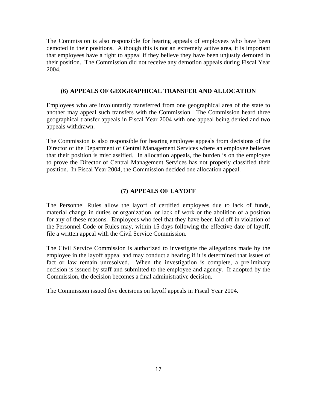The Commission is also responsible for hearing appeals of employees who have been demoted in their positions. Although this is not an extremely active area, it is important that employees have a right to appeal if they believe they have been unjustly demoted in their position. The Commission did not receive any demotion appeals during Fiscal Year 2004.

### **(6) APPEALS OF GEOGRAPHICAL TRANSFER AND ALLOCATION**

Employees who are involuntarily transferred from one geographical area of the state to another may appeal such transfers with the Commission. The Commission heard three geographical transfer appeals in Fiscal Year 2004 with one appeal being denied and two appeals withdrawn.

The Commission is also responsible for hearing employee appeals from decisions of the Director of the Department of Central Management Services where an employee believes that their position is misclassified. In allocation appeals, the burden is on the employee to prove the Director of Central Management Services has not properly classified their position. In Fiscal Year 2004, the Commission decided one allocation appeal.

### **(7) APPEALS OF LAYOFF**

The Personnel Rules allow the layoff of certified employees due to lack of funds, material change in duties or organization, or lack of work or the abolition of a position for any of these reasons. Employees who feel that they have been laid off in violation of the Personnel Code or Rules may, within 15 days following the effective date of layoff, file a written appeal with the Civil Service Commission.

The Civil Service Commission is authorized to investigate the allegations made by the employee in the layoff appeal and may conduct a hearing if it is determined that issues of fact or law remain unresolved. When the investigation is complete, a preliminary decision is issued by staff and submitted to the employee and agency. If adopted by the Commission, the decision becomes a final administrative decision.

The Commission issued five decisions on layoff appeals in Fiscal Year 2004.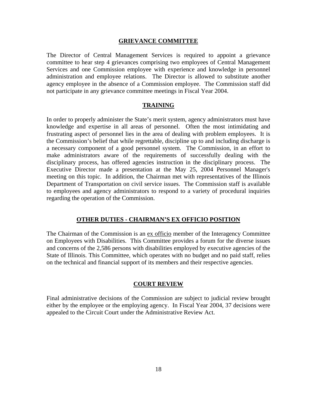#### **GRIEVANCE COMMITTEE**

The Director of Central Management Services is required to appoint a grievance committee to hear step 4 grievances comprising two employees of Central Management Services and one Commission employee with experience and knowledge in personnel administration and employee relations. The Director is allowed to substitute another agency employee in the absence of a Commission employee. The Commission staff did not participate in any grievance committee meetings in Fiscal Year 2004.

#### **TRAINING**

In order to properly administer the State's merit system, agency administrators must have knowledge and expertise in all areas of personnel. Often the most intimidating and frustrating aspect of personnel lies in the area of dealing with problem employees. It is the Commission's belief that while regrettable, discipline up to and including discharge is a necessary component of a good personnel system. The Commission, in an effort to make administrators aware of the requirements of successfully dealing with the disciplinary process, has offered agencies instruction in the disciplinary process. The Executive Director made a presentation at the May 25, 2004 Personnel Manager's meeting on this topic. In addition, the Chairman met with representatives of the Illinois Department of Transportation on civil service issues. The Commission staff is available to employees and agency administrators to respond to a variety of procedural inquiries regarding the operation of the Commission.

#### **OTHER DUTIES - CHAIRMAN'S EX OFFICIO POSITION**

The Chairman of the Commission is an ex officio member of the Interagency Committee on Employees with Disabilities. This Committee provides a forum for the diverse issues and concerns of the 2,586 persons with disabilities employed by executive agencies of the State of Illinois. This Committee, which operates with no budget and no paid staff, relies on the technical and financial support of its members and their respective agencies.

#### **COURT REVIEW**

Final administrative decisions of the Commission are subject to judicial review brought either by the employee or the employing agency. In Fiscal Year 2004, 37 decisions were appealed to the Circuit Court under the Administrative Review Act.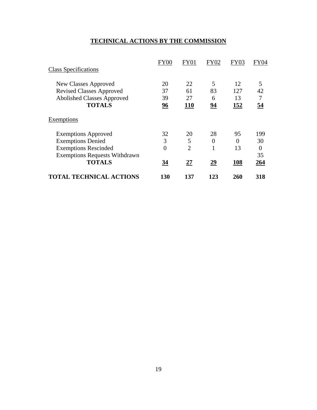# **TECHNICAL ACTIONS BY THE COMMISSION**

|                                      | FY00           | FY01           | FY02           | FY03 | <b>FY04</b> |
|--------------------------------------|----------------|----------------|----------------|------|-------------|
| <b>Class Specifications</b>          |                |                |                |      |             |
| New Classes Approved                 | 20             | 22             | 5              | 12   | 5           |
| <b>Revised Classes Approved</b>      | 37             | 61             | 83             | 127  | 42          |
| <b>Abolished Classes Approved</b>    | 39             | 27             | 6              | 13   | 7           |
| <b>TOTALS</b>                        | 96             | <b>110</b>     | 94             | 152  | 54          |
| Exemptions                           |                |                |                |      |             |
| <b>Exemptions Approved</b>           | 32             | 20             | 28             | 95   | 199         |
| <b>Exemptions Denied</b>             | 3              | 5              | $\overline{0}$ | 0    | 30          |
| <b>Exemptions Rescinded</b>          | $\overline{0}$ | $\overline{2}$ | 1              | 13   | $\theta$    |
| <b>Exemptions Requests Withdrawn</b> |                |                |                |      | 35          |
| <b>TOTALS</b>                        | <u>34</u>      | <u>27</u>      | <u>29</u>      | 108  | 264         |
| <b>TOTAL TECHNICAL ACTIONS</b>       | 130            | 137            | 123            | 260  | 318         |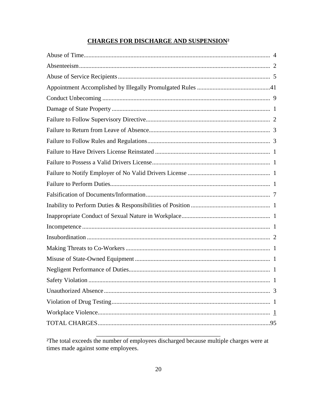# **CHARGES FOR DISCHARGE AND SUSPENSION<sup>2</sup>**

<sup>2</sup>The total exceeds the number of employees discharged because multiple charges were at times made against some employees.